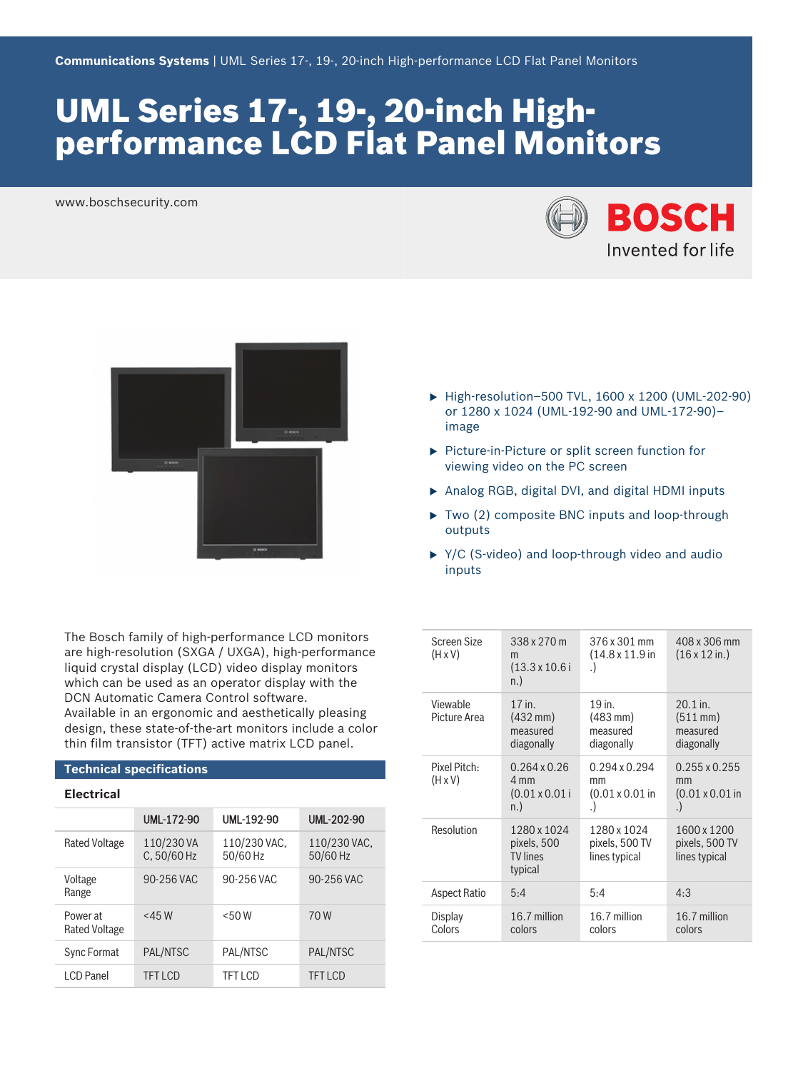# UML Series 17-, 19-, 20-inch Highperformance LCD Flat Panel Monitors

www.boschsecurity.com





The Bosch family of high-performance LCD monitors are high-resolution (SXGA / UXGA), high-performance liquid crystal display (LCD) video display monitors which can be used as an operator display with the DCN Automatic Camera Control software. Available in an ergonomic and aesthetically pleasing design, these state-of-the-art monitors include a color thin film transistor (TFT) active matrix LCD panel.

# **Technical specifications**

# **Electrical**

|                                  | <b>UML-172-90</b>         | UML-192-90               | <b>UML-202-90</b>        |
|----------------------------------|---------------------------|--------------------------|--------------------------|
| <b>Rated Voltage</b>             | 110/230 VA<br>C, 50/60 Hz | 110/230 VAC,<br>50/60 Hz | 110/230 VAC,<br>50/60 Hz |
| Voltage<br>Range                 | 90-256 VAC                | 90-256 VAC               | 90-256 VAC               |
| Power at<br><b>Rated Voltage</b> | $<$ 45 W                  | $<$ 50 W                 | 70W                      |
| <b>Sync Format</b>               | PAL/NTSC                  | PAL/NTSC                 | PAL/NTSC                 |
| LCD Panel                        | <b>TFTICD</b>             | <b>TFT LCD</b>           | <b>TFT LCD</b>           |

- ▶ High-resolution–500 TVL, 1600 x 1200 (UML-202-90) or 1280 x 1024 (UML-192-90 and UML-172-90)– image
- ▶ Picture-in-Picture or split screen function for viewing video on the PC screen
- $\triangleright$  Analog RGB, digital DVI, and digital HDMI inputs
- $\triangleright$  Two (2) composite BNC inputs and loop-through outputs
- $\triangleright$  Y/C (S-video) and loop-through video and audio inputs

| Screen Size<br>$(H \times V)$  | 338 x 270 m<br>m<br>$(13.3 \times 10.6)$<br>n.             | 376 x 301 mm<br>$(14.8 \times 11.9)$ in<br>$\cdot$               | 408 x 306 mm<br>$(16 \times 12 \text{ in.})$                 |
|--------------------------------|------------------------------------------------------------|------------------------------------------------------------------|--------------------------------------------------------------|
| Viewable<br>Picture Area       | $17$ in.<br>$(432 \text{ mm})$<br>measured<br>diagonally   | 19 in.<br>$(483 \, \text{mm})$<br>measured<br>diagonally         | $20.1$ in.<br>$(511 \, \text{mm})$<br>measured<br>diagonally |
| Pixel Pitch:<br>$(H \times V)$ | $0.264 \times 0.26$<br>4 mm<br>$(0.01 \times 0.01)$<br>n.) | $0.294 \times 0.294$<br>mm<br>$(0.01 \times 0.01)$ in<br>$\cdot$ | $0.255 \times 0.255$<br>mm<br>$(0.01 \times 0.01)$ in<br>. ) |
| Resolution                     | 1280 x 1024<br>pixels, 500<br><b>TV</b> lines<br>typical   | 1280 x 1024<br>pixels, 500 TV<br>lines typical                   | 1600 x 1200<br>pixels, 500 TV<br>lines typical               |
| Aspect Ratio                   | 5:4                                                        | 5:4                                                              | 4:3                                                          |
| Display<br>Colors              | 16.7 million<br>colors                                     | 16.7 million<br>colors                                           | 16.7 million<br>colors                                       |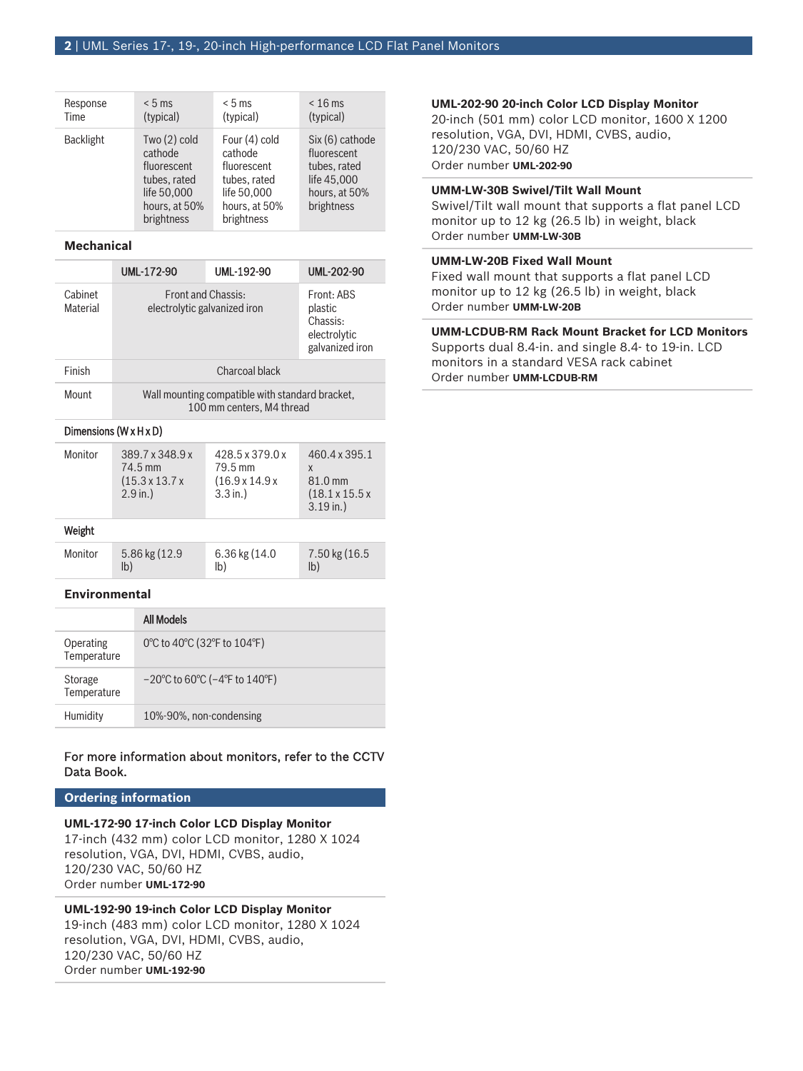| Response         | < 5 ms                                                                                                 | $< 5$ ms                                                                                              | $< 16$ ms                                                                                    |
|------------------|--------------------------------------------------------------------------------------------------------|-------------------------------------------------------------------------------------------------------|----------------------------------------------------------------------------------------------|
| Time             | (typical)                                                                                              | (typical)                                                                                             | (typical)                                                                                    |
| <b>Backlight</b> | Two $(2)$ cold<br>cathode<br>fluorescent<br>tubes, rated<br>life 50,000<br>hours, at 50%<br>brightness | Four (4) cold<br>cathode<br>fluorescent<br>tubes, rated<br>life 50,000<br>hours, at 50%<br>brightness | Six (6) cathode<br>fluorescent<br>tubes, rated<br>life 45,000<br>hours, at 50%<br>brightness |

#### **Mechanical**

|                            | <b>UML-172-90</b>                                                            | UML-192-90 | <b>UML-202-90</b>                                                    |
|----------------------------|------------------------------------------------------------------------------|------------|----------------------------------------------------------------------|
| Cabinet<br><b>Material</b> | <b>Eront and Chassis:</b><br>electrolytic galvanized iron                    |            | Front: ABS<br>plastic<br>Chassis:<br>electrolytic<br>galvanized iron |
| Finish                     | Charcoal black                                                               |            |                                                                      |
| Mount                      | Wall mounting compatible with standard bracket,<br>100 mm centers, M4 thread |            |                                                                      |

#### Dimensions (W x H x D)

| Monitor | 389.7 x 348.9 x<br>74.5 mm<br>$(15.3 \times 13.7 \times$<br>$2.9$ in.) | 428.5 x 379.0 x<br>79.5 mm<br>$(16.9 \times 14.9 \times$<br>$3.3$ in.) | 460.4 x 395.1<br>X<br>81.0 mm<br>$(18.1 \times 15.5 \times$<br>$3.19$ in.) |
|---------|------------------------------------------------------------------------|------------------------------------------------------------------------|----------------------------------------------------------------------------|
| Weight  |                                                                        |                                                                        |                                                                            |
| Monitor | 5.86 kg (12.9)<br>lb)                                                  | 6.36 kg (14.0                                                          | 7.50 kg (16.5)<br>lb)                                                      |

### **Environmental**

|                          | <b>All Models</b>                                                        |
|--------------------------|--------------------------------------------------------------------------|
| Operating<br>Temperature | 0°C to 40°C (32°F to 104°F)                                              |
| Storage<br>Temperature   | $-20^{\circ}$ C to 60 $^{\circ}$ C ( $-4^{\circ}$ F to 140 $^{\circ}$ F) |
| Humidity                 | 10%-90%, non-condensing                                                  |

# For more information about monitors, refer to the CCTV Data Book.

### **Ordering information**

#### **UML-172-90 17-inch Color LCD Display Monitor**

17-inch (432 mm) color LCD monitor, 1280 X 1024 resolution, VGA, DVI, HDMI, CVBS, audio, 120/230 VAC, 50/60 HZ Order number **UML-172-90**

# **UML-192-90 19-inch Color LCD Display Monitor**

19-inch (483 mm) color LCD monitor, 1280 X 1024 resolution, VGA, DVI, HDMI, CVBS, audio, 120/230 VAC, 50/60 HZ Order number **UML-192-90**

# **UML‑202‑90 20-inch Color LCD Display Monitor**

20-inch (501 mm) color LCD monitor, 1600 X 1200 resolution, VGA, DVI, HDMI, CVBS, audio, 120/230 VAC, 50/60 HZ Order number **UML-202-90**

# **UMM-LW-30B Swivel/Tilt Wall Mount**

Swivel/Tilt wall mount that supports a flat panel LCD monitor up to 12 kg (26.5 lb) in weight, black Order number **UMM-LW-30B**

### **UMM-LW-20B Fixed Wall Mount**

Fixed wall mount that supports a flat panel LCD monitor up to 12 kg (26.5 lb) in weight, black Order number **UMM-LW-20B**

# **UMM-LCDUB-RM Rack Mount Bracket for LCD Monitors**

Supports dual 8.4-in. and single 8.4- to 19-in. LCD monitors in a standard VESA rack cabinet Order number **UMM-LCDUB-RM**